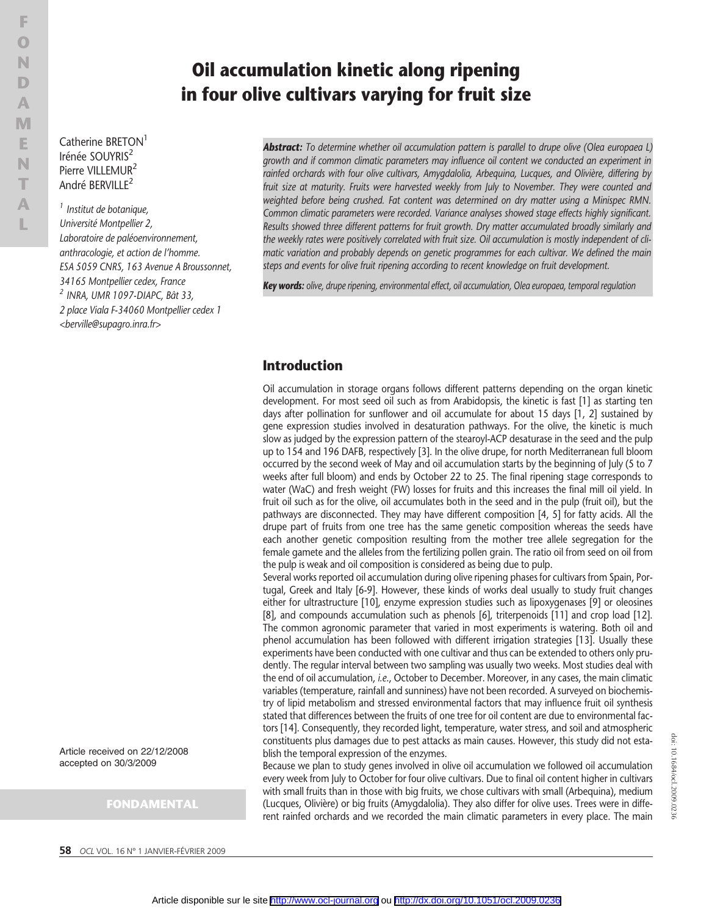Catherine BRETON<sup>1</sup> Irénée SOUYRIS<sup>2</sup> Pierre VILLEMUR<sup>2</sup> André BERVILLE<sup>2</sup>

<sup>1</sup> Institut de botanique, Université Montpellier 2, Laboratoire de paléoenvironnement, anthracologie, et action de l'homme. ESA 5059 CNRS, 163 Avenue A Broussonnet, 34165 Montpellier cedex, France <sup>2</sup> INRA, UMR 1097-DIAPC, Bât 33, 2 place Viala F-34060 Montpellier cedex 1 <berville@supagro.inra.fr>

Article received on 22/12/2008 accepted on 30/3/2009

### FONDAMENTAL

# Oil accumulation kinetic along ripening in four olive cultivars varying for fruit size

**Abstract:** To determine whether oil accumulation pattern is parallel to drupe olive (Olea europaea L) growth and if common climatic parameters may influence oil content we conducted an experiment in rainfed orchards with four olive cultivars, Amygdalolia, Arbequina, Lucques, and Olivière, differing by fruit size at maturity. Fruits were harvested weekly from July to November. They were counted and weighted before being crushed. Fat content was determined on dry matter using a Minispec RMN. Common climatic parameters were recorded. Variance analyses showed stage effects highly significant. Results showed three different patterns for fruit growth. Dry matter accumulated broadly similarly and the weekly rates were positively correlated with fruit size. Oil accumulation is mostly independent of climatic variation and probably depends on genetic programmes for each cultivar. We defined the main steps and events for olive fruit ripening according to recent knowledge on fruit development.

Key words: olive, drupe ripening, environmental effect, oil accumulation, Olea europaea, temporal regulation

## Introduction

Oil accumulation in storage organs follows different patterns depending on the organ kinetic development. For most seed oil such as from Arabidopsis, the kinetic is fast [1] as starting ten days after pollination for sunflower and oil accumulate for about 15 days [1, 2] sustained by gene expression studies involved in desaturation pathways. For the olive, the kinetic is much slow as judged by the expression pattern of the stearoyl-ACP desaturase in the seed and the pulp up to 154 and 196 DAFB, respectively [3]. In the olive drupe, for north Mediterranean full bloom occurred by the second week of May and oil accumulation starts by the beginning of July (5 to 7 weeks after full bloom) and ends by October 22 to 25. The final ripening stage corresponds to water (WaC) and fresh weight (FW) losses for fruits and this increases the final mill oil yield. In fruit oil such as for the olive, oil accumulates both in the seed and in the pulp (fruit oil), but the pathways are disconnected. They may have different composition [4, 5] for fatty acids. All the drupe part of fruits from one tree has the same genetic composition whereas the seeds have each another genetic composition resulting from the mother tree allele segregation for the female gamete and the alleles from the fertilizing pollen grain. The ratio oil from seed on oil from the pulp is weak and oil composition is considered as being due to pulp.

Several works reported oil accumulation during olive ripening phases for cultivars from Spain, Portugal, Greek and Italy [6-9]. However, these kinds of works deal usually to study fruit changes either for ultrastructure [10], enzyme expression studies such as lipoxygenases [9] or oleosines [8], and compounds accumulation such as phenols [6], triterpenoids [11] and crop load [12]. The common agronomic parameter that varied in most experiments is watering. Both oil and phenol accumulation has been followed with different irrigation strategies [13]. Usually these experiments have been conducted with one cultivar and thus can be extended to others only prudently. The regular interval between two sampling was usually two weeks. Most studies deal with the end of oil accumulation, i.e., October to December. Moreover, in any cases, the main climatic variables (temperature, rainfall and sunniness) have not been recorded. A surveyed on biochemistry of lipid metabolism and stressed environmental factors that may influence fruit oil synthesis stated that differences between the fruits of one tree for oil content are due to environmental factors [14]. Consequently, they recorded light, temperature, water stress, and soil and atmospheric constituents plus damages due to pest attacks as main causes. However, this study did not establish the temporal expression of the enzymes.

Because we plan to study genes involved in olive oil accumulation we followed oil accumulation every week from July to October for four olive cultivars. Due to final oil content higher in cultivars with small fruits than in those with big fruits, we chose cultivars with small (Arbequina), medium (Lucques, Olivière) or big fruits (Amygdalolia). They also differ for olive uses. Trees were in different rainfed orchards and we recorded the main climatic parameters in every place. The main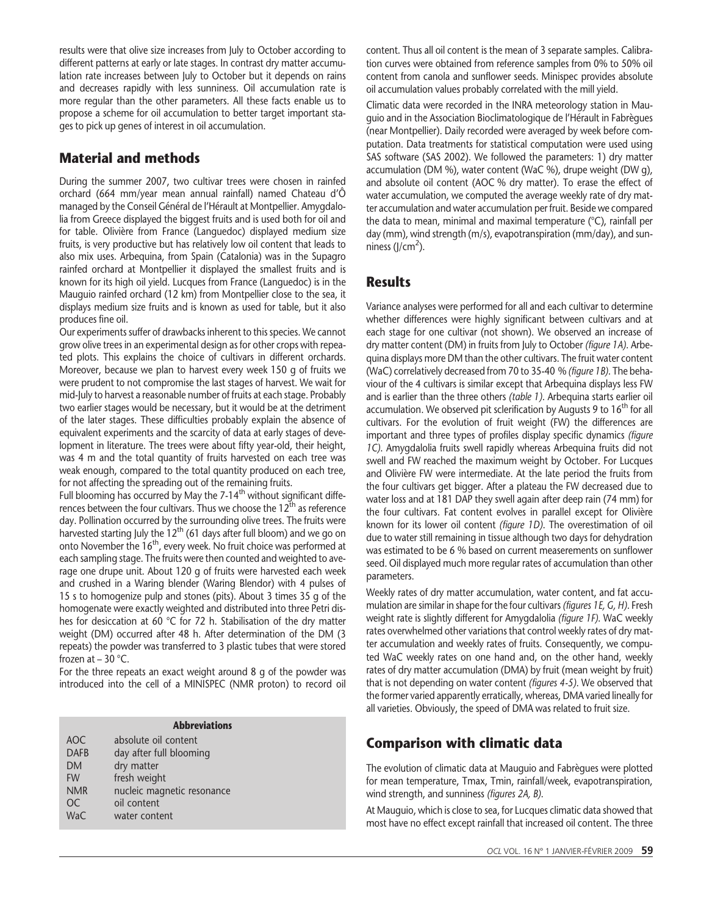results were that olive size increases from July to October according to different patterns at early or late stages. In contrast dry matter accumulation rate increases between July to October but it depends on rains and decreases rapidly with less sunniness. Oil accumulation rate is more regular than the other parameters. All these facts enable us to propose a scheme for oil accumulation to better target important stages to pick up genes of interest in oil accumulation.

## Material and methods

During the summer 2007, two cultivar trees were chosen in rainfed orchard (664 mm/year mean annual rainfall) named Chateau d'Ô managed by the Conseil Général de l'Hérault at Montpellier. Amygdalolia from Greece displayed the biggest fruits and is used both for oil and for table. Olivière from France (Languedoc) displayed medium size fruits, is very productive but has relatively low oil content that leads to also mix uses. Arbequina, from Spain (Catalonia) was in the Supagro rainfed orchard at Montpellier it displayed the smallest fruits and is known for its high oil yield. Lucques from France (Languedoc) is in the Mauguio rainfed orchard (12 km) from Montpellier close to the sea, it displays medium size fruits and is known as used for table, but it also produces fine oil.

Our experiments suffer of drawbacks inherent to this species. We cannot grow olive trees in an experimental design as for other crops with repeated plots. This explains the choice of cultivars in different orchards. Moreover, because we plan to harvest every week 150 g of fruits we were prudent to not compromise the last stages of harvest. We wait for mid-July to harvest a reasonable number of fruits at each stage. Probably two earlier stages would be necessary, but it would be at the detriment of the later stages. These difficulties probably explain the absence of equivalent experiments and the scarcity of data at early stages of development in literature. The trees were about fifty year-old, their height, was 4 m and the total quantity of fruits harvested on each tree was weak enough, compared to the total quantity produced on each tree, for not affecting the spreading out of the remaining fruits.

Full blooming has occurred by May the  $7-14^{\text{th}}$  without significant differences between the four cultivars. Thus we choose the  $12<sup>th</sup>$  as reference day. Pollination occurred by the surrounding olive trees. The fruits were harvested starting July the  $12<sup>th</sup>$  (61 days after full bloom) and we go on onto November the  $16<sup>th</sup>$ , every week. No fruit choice was performed at each sampling stage. The fruits were then counted and weighted to average one drupe unit. About 120 g of fruits were harvested each week and crushed in a Waring blender (Waring Blendor) with 4 pulses of 15 s to homogenize pulp and stones (pits). About 3 times 35 g of the homogenate were exactly weighted and distributed into three Petri dishes for desiccation at 60 °C for 72 h. Stabilisation of the dry matter weight (DM) occurred after 48 h. After determination of the DM (3 repeats) the powder was transferred to 3 plastic tubes that were stored frozen at  $-30$  °C.

For the three repeats an exact weight around 8 g of the powder was introduced into the cell of a MINISPEC (NMR proton) to record oil

#### Abbreviations

| AOC           | absolute oil content       |
|---------------|----------------------------|
| <b>DAFB</b>   | day after full blooming    |
| <b>DM</b>     | dry matter                 |
| <b>FW</b>     | fresh weight               |
| <b>NMR</b>    | nucleic magnetic resonance |
| <sub>OC</sub> | oil content                |
| WaC           | water content              |
|               |                            |

content. Thus all oil content is the mean of 3 separate samples. Calibration curves were obtained from reference samples from 0% to 50% oil content from canola and sunflower seeds. Minispec provides absolute oil accumulation values probably correlated with the mill yield.

Climatic data were recorded in the INRA meteorology station in Mauguio and in the Association Bioclimatologique de l'Hérault in Fabrègues (near Montpellier). Daily recorded were averaged by week before computation. Data treatments for statistical computation were used using SAS software (SAS 2002). We followed the parameters: 1) dry matter accumulation (DM %), water content (WaC %), drupe weight (DW g), and absolute oil content (AOC % dry matter). To erase the effect of water accumulation, we computed the average weekly rate of dry matter accumulation and water accumulation per fruit. Beside we compared the data to mean, minimal and maximal temperature (°C), rainfall per day (mm), wind strength (m/s), evapotranspiration (mm/day), and sunniness  $(J/cm<sup>2</sup>)$ .

### **Results**

Variance analyses were performed for all and each cultivar to determine whether differences were highly significant between cultivars and at each stage for one cultivar (not shown). We observed an increase of dry matter content (DM) in fruits from July to October (figure 1A). Arbequina displays more DM than the other cultivars. The fruit water content (WaC) correlatively decreased from 70 to 35-40 % (figure 1B). The behaviour of the 4 cultivars is similar except that Arbequina displays less FW and is earlier than the three others (table 1). Arbequina starts earlier oil accumulation. We observed pit sclerification by Augusts 9 to  $16<sup>th</sup>$  for all cultivars. For the evolution of fruit weight (FW) the differences are important and three types of profiles display specific dynamics (figure 1C). Amygdalolia fruits swell rapidly whereas Arbequina fruits did not swell and FW reached the maximum weight by October. For Lucques and Olivière FW were intermediate. At the late period the fruits from the four cultivars get bigger. After a plateau the FW decreased due to water loss and at 181 DAP they swell again after deep rain (74 mm) for the four cultivars. Fat content evolves in parallel except for Olivière known for its lower oil content (figure 1D). The overestimation of oil due to water still remaining in tissue although two days for dehydration was estimated to be 6 % based on current measerements on sunflower seed. Oil displayed much more regular rates of accumulation than other parameters.

Weekly rates of dry matter accumulation, water content, and fat accumulation are similar in shape for the four cultivars (figures 1E, G, H). Fresh weight rate is slightly different for Amygdalolia (figure 1F). WaC weekly rates overwhelmed other variations that control weekly rates of dry matter accumulation and weekly rates of fruits. Consequently, we computed WaC weekly rates on one hand and, on the other hand, weekly rates of dry matter accumulation (DMA) by fruit (mean weight by fruit) that is not depending on water content (figures 4-5). We observed that the former varied apparently erratically, whereas, DMA varied lineally for all varieties. Obviously, the speed of DMA was related to fruit size.

# Comparison with climatic data

The evolution of climatic data at Mauguio and Fabrègues were plotted for mean temperature, Tmax, Tmin, rainfall/week, evapotranspiration, wind strength, and sunniness (figures 2A, B).

At Mauguio, which is close to sea, for Lucques climatic data showed that most have no effect except rainfall that increased oil content. The three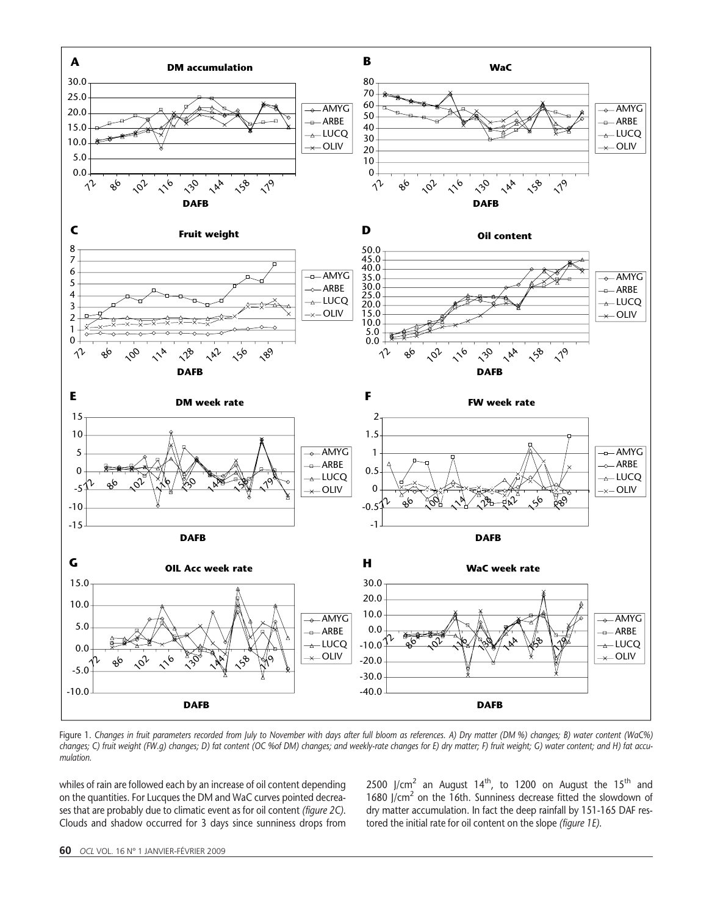

Figure 1. Changes in fruit parameters recorded from July to November with days after full bloom as references. A) Dry matter (DM %) changes; B) water content (WaC%) changes; C) fruit weight (FW.g) changes; D) fat content (OC %of DM) changes; and weekly-rate changes for E) dry matter; F) fruit weight; G) water content; and H) fat accumulation.

whiles of rain are followed each by an increase of oil content depending on the quantities. For Lucques the DM and WaC curves pointed decreases that are probably due to climatic event as for oil content (figure 2C). Clouds and shadow occurred for 3 days since sunniness drops from

2500 J/cm<sup>2</sup> an August 14<sup>th</sup>, to 1200 on August the 15<sup>th</sup> and 1680 J/cm<sup>2</sup> on the 16th. Sunniness decrease fitted the slowdown of dry matter accumulation. In fact the deep rainfall by 151-165 DAF restored the initial rate for oil content on the slope (figure 1E).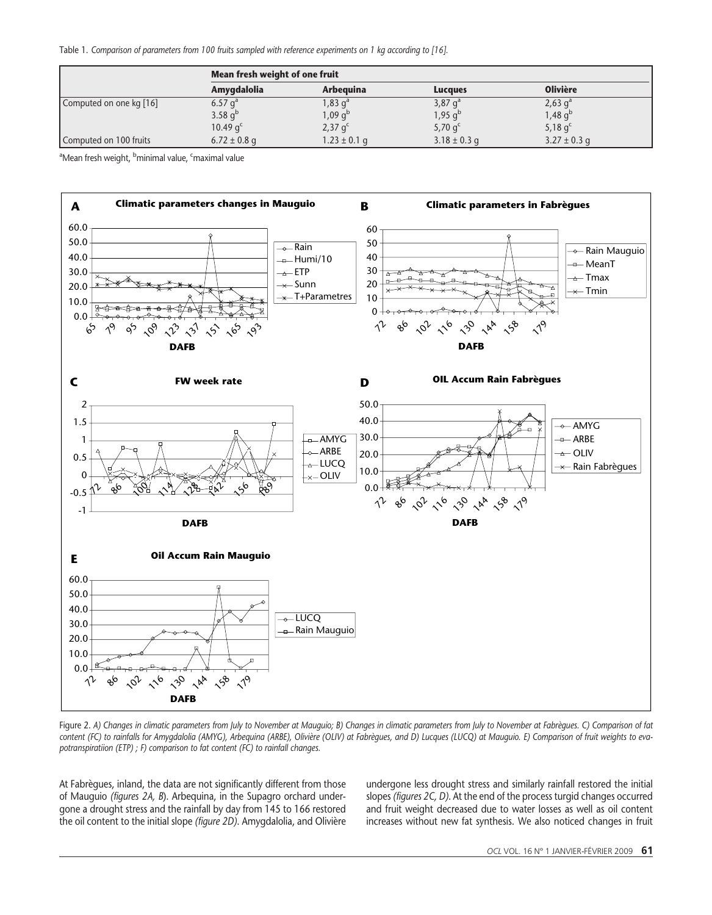Table 1. Comparison of parameters from 100 fruits sampled with reference experiments on 1 kg according to [16].

|                         | Mean fresh weight of one fruit |                                |                             |                             |  |  |
|-------------------------|--------------------------------|--------------------------------|-----------------------------|-----------------------------|--|--|
|                         | Amygdalolia                    | Arbeguina                      | Lucaues                     | <b>Olivière</b>             |  |  |
| Computed on one kg [16] | 6.57 $q^a$                     | 1,83 $\mathsf{q}^{\mathsf{a}}$ | $3,87$ q <sup>2</sup>       | $2,63$ g <sup>a</sup>       |  |  |
|                         | 3.58 $q^{b}$                   | 1,09 q <sup>b</sup>            | $1,95 \text{ q}^{\text{b}}$ | $1,48 \text{ q}^{\text{b}}$ |  |  |
|                         | 10.49 $qc$                     | $2,37$ g <sup>c</sup>          | 5,70 $q^c$                  | 5,18 $q^c$                  |  |  |
| Computed on 100 fruits  | $6.72 \pm 0.8$ g               | $1.23 \pm 0.1$ g               | $3.18 \pm 0.3$ g            | $3.27 \pm 0.3$ g            |  |  |

<sup>a</sup>Mean fresh weight, <sup>b</sup>minimal value, <sup>c</sup>maximal value



Figure 2. A) Changes in climatic parameters from July to November at Mauguio; B) Changes in climatic parameters from July to November at Fabrègues. C) Comparison of fat content (FC) to rainfalls for Amygdalolia (AMYG), Arbequina (ARBE), Olivière (OLIV) at Fabrègues, and D) Lucques (LUCQ) at Mauguio. E) Comparison of fruit weights to evapotranspiratiion (ETP) ; F) comparison to fat content (FC) to rainfall changes.

At Fabrègues, inland, the data are not significantly different from those of Mauguio (figures 2A, B). Arbequina, in the Supagro orchard undergone a drought stress and the rainfall by day from 145 to 166 restored the oil content to the initial slope (figure 2D). Amygdalolia, and Olivière undergone less drought stress and similarly rainfall restored the initial slopes (figures 2C, D). At the end of the process turgid changes occurred and fruit weight decreased due to water losses as well as oil content increases without new fat synthesis. We also noticed changes in fruit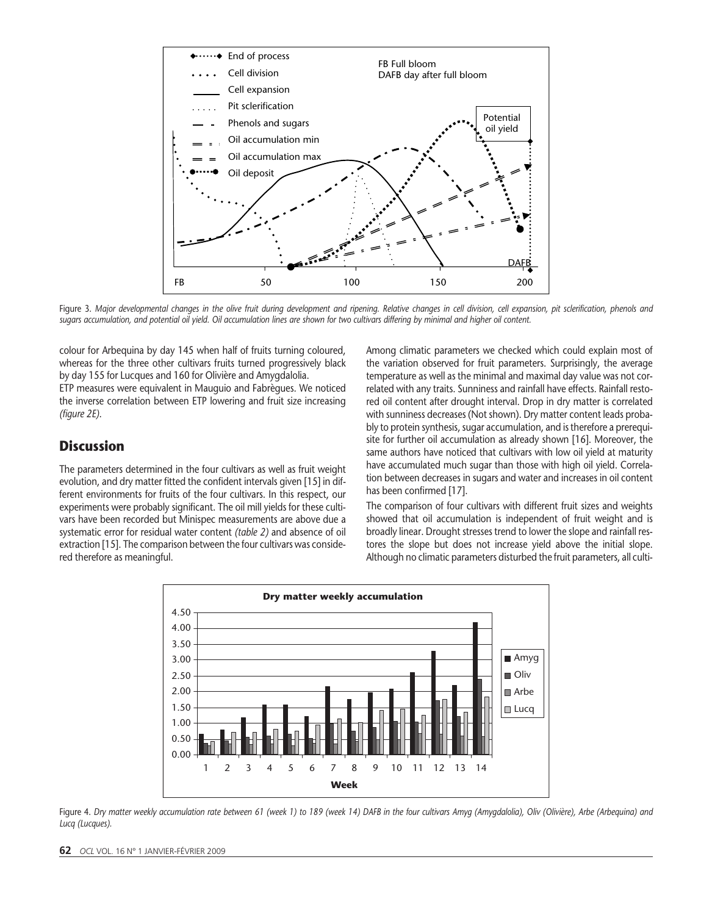

Figure 3. Major developmental changes in the olive fruit during development and ripening. Relative changes in cell division, cell expansion, pit sclerification, phenols and sugars accumulation, and potential oil yield. Oil accumulation lines are shown for two cultivars differing by minimal and higher oil content.

colour for Arbequina by day 145 when half of fruits turning coloured, whereas for the three other cultivars fruits turned progressively black by day 155 for Lucques and 160 for Olivière and Amygdalolia.

ETP measures were equivalent in Mauguio and Fabrègues. We noticed the inverse correlation between ETP lowering and fruit size increasing (figure 2E).

### **Discussion**

The parameters determined in the four cultivars as well as fruit weight evolution, and dry matter fitted the confident intervals given [15] in different environments for fruits of the four cultivars. In this respect, our experiments were probably significant. The oil mill yields for these cultivars have been recorded but Minispec measurements are above due a systematic error for residual water content (table 2) and absence of oil extraction [15]. The comparison between the four cultivars was considered therefore as meaningful.

Among climatic parameters we checked which could explain most of the variation observed for fruit parameters. Surprisingly, the average temperature as well as the minimal and maximal day value was not correlated with any traits. Sunniness and rainfall have effects. Rainfall restored oil content after drought interval. Drop in dry matter is correlated with sunniness decreases (Not shown). Dry matter content leads probably to protein synthesis, sugar accumulation, and is therefore a prerequisite for further oil accumulation as already shown [16]. Moreover, the same authors have noticed that cultivars with low oil yield at maturity have accumulated much sugar than those with high oil yield. Correlation between decreases in sugars and water and increases in oil content has been confirmed [17].

The comparison of four cultivars with different fruit sizes and weights showed that oil accumulation is independent of fruit weight and is broadly linear. Drought stresses trend to lower the slope and rainfall restores the slope but does not increase yield above the initial slope. Although no climatic parameters disturbed the fruit parameters, all culti-



Figure 4. Dry matter weekly accumulation rate between 61 (week 1) to 189 (week 14) DAFB in the four cultivars Amyg (Amygdalolia), Oliv (Olivière), Arbe (Arbequina) and Lucq (Lucques).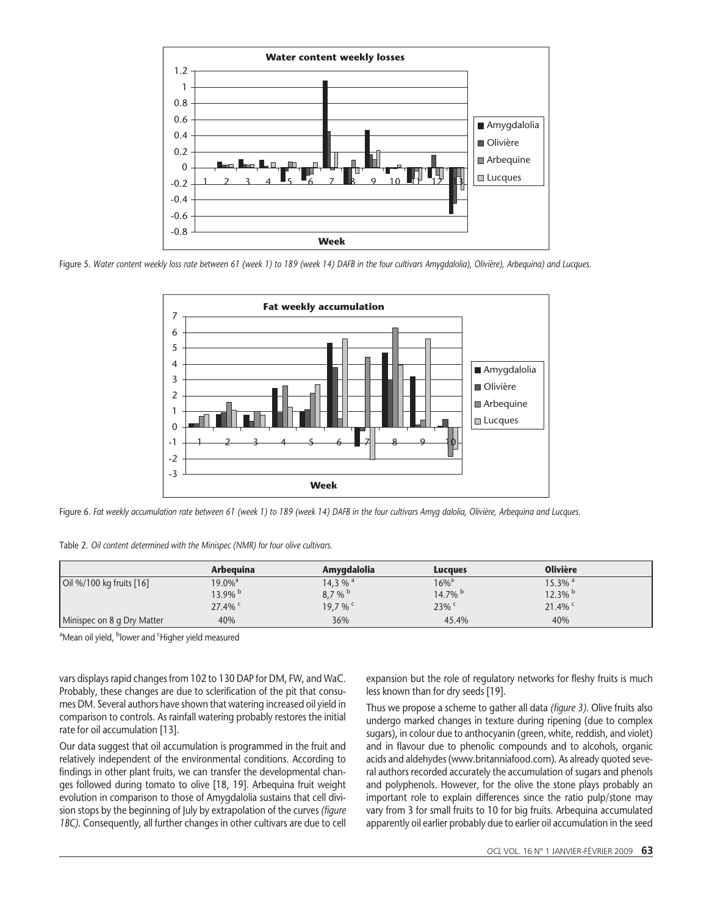

Figure 5. Water content weekly loss rate between 61 (week 1) to 189 (week 14) DAFB in the four cultivars Amygdalolia), Olivière), Arbequina) and Lucques.



Figure 6. Fat weekly accumulation rate between 61 (week 1) to 189 (week 14) DAFB in the four cultivars Amyg dalolia, Olivière, Arbequina and Lucques.

Table 2. Oil content determined with the Minispec (NMR) for four olive cultivars.

|                            | Arbeauina          | Amygdalolia | <b>Lucques</b>      | <b>Olivière</b>       |
|----------------------------|--------------------|-------------|---------------------|-----------------------|
| Oil %/100 kg fruits [16]   | $19.0\%$ ª         | 14,3 % $a$  | $16\%$ <sup>a</sup> | $15.3\%$ <sup>a</sup> |
|                            | 13.9% <sup>b</sup> | 8.7%        | 14.7% $^{\rm b}$    | $12.3\%$ b            |
|                            | $27.4\%$           | 19,7 % c    | 23%                 | $21.4\%$              |
| Minispec on 8 g Dry Matter | 40%                | 36%         | 45.4%               | 40%                   |

<sup>a</sup>Mean oil yield, <sup>b</sup>lower and <sup>c</sup>Higher yield measured

vars displays rapid changes from 102 to 130 DAP for DM, FW, and WaC. Probably, these changes are due to sclerification of the pit that consumes DM. Several authors have shown that watering increased oil yield in comparison to controls. As rainfall watering probably restores the initial rate for oil accumulation [13].

Our data suggest that oil accumulation is programmed in the fruit and relatively independent of the environmental conditions. According to findings in other plant fruits, we can transfer the developmental changes followed during tomato to olive [18, 19]. Arbequina fruit weight evolution in comparison to those of Amygdalolia sustains that cell division stops by the beginning of July by extrapolation of the curves (figure 1BC). Consequently, all further changes in other cultivars are due to cell expansion but the role of regulatory networks for fleshy fruits is much less known than for dry seeds [19].

Thus we propose a scheme to gather all data (figure 3). Olive fruits also undergo marked changes in texture during ripening (due to complex sugars), in colour due to anthocyanin (green, white, reddish, and violet) and in flavour due to phenolic compounds and to alcohols, organic acids and aldehydes (www.britanniafood.com). As already quoted several authors recorded accurately the accumulation of sugars and phenols and polyphenols. However, for the olive the stone plays probably an important role to explain differences since the ratio pulp/stone may vary from 3 for small fruits to 10 for big fruits. Arbequina accumulated apparently oil earlier probably due to earlier oil accumulation in the seed